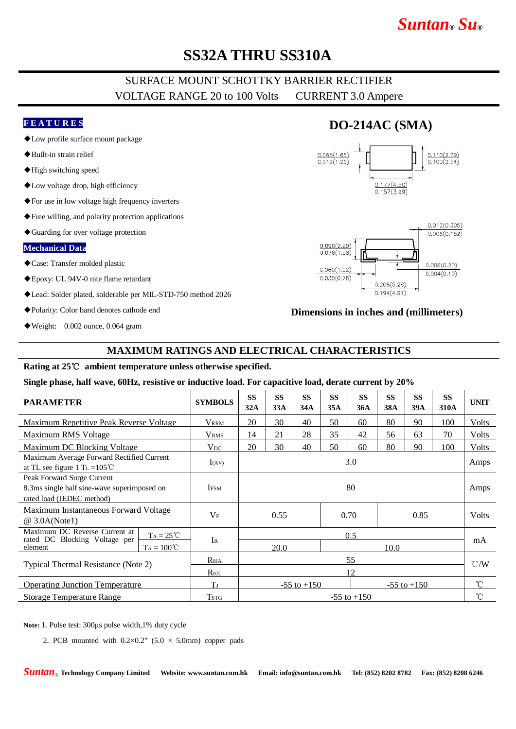# *Suntan***®** *Su***®**

# **SS32A THRU SS310A**

## SURFACE MOUNT SCHOTTKY BARRIER RECTIFIER VOLTAGE RANGE 20 to 100 Volts CURRENT 3.0 Ampere

### **F E A T U R E S**

- ◆Low profile surface mount package
- ◆Built-in strain relief
- ◆High switching speed
- ◆Low voltage drop, high efficiency
- ◆For use in low voltage high frequency inverters
- ◆Free willing, and polarity protection applications
- ◆Guarding for over voltage protection

#### **Mechanical Data**

- ◆Case: Transfer molded plastic
- ◆Epoxy: UL 94V-0 rate flame retardant
- ◆Lead: Solder plated, solderable per MIL-STD-750 method 2026
- ◆Polarity: Color band denotes cathode end
- ◆Weight: 0.002 ounce, 0.064 gram

## **DO-214AC (SMA)**





### **Dimensions in inches and (millimeters)**

### **MAXIMUM RATINGS AND ELECTRICAL CHARACTERISTICS**

#### **Rating at 25**℃ **ambient temperature unless otherwise specified.**

#### **Single phase, half wave, 60Hz, resistive or inductive load. For capacitive load, derate current by 20%**

| <b>PARAMETER</b>                                                                                       | <b>SYMBOLS</b>  | <b>SS</b><br>32A     | <b>SS</b><br>33A | <b>SS</b><br>34A | <b>SS</b><br>35A | <b>SS</b><br>36A | <b>SS</b><br><b>38A</b> | <b>SS</b><br>39A | <b>SS</b><br>310A | <b>UNIT</b>     |
|--------------------------------------------------------------------------------------------------------|-----------------|----------------------|------------------|------------------|------------------|------------------|-------------------------|------------------|-------------------|-----------------|
| Maximum Repetitive Peak Reverse Voltage                                                                | <b>VRRM</b>     | 20                   | 30               | 40               | 50               | 60               | 80                      | 90               | 100               | Volts           |
| Maximum RMS Voltage                                                                                    | <b>VRMS</b>     | 14                   | 21               | 28               | 35               | 42               | 56                      | 63               | 70                | <b>Volts</b>    |
| Maximum DC Blocking Voltage                                                                            | $V_{DC}$        | 20                   | 30               | 40               | 50               | 60               | 80                      | 90               | 100               | <b>Volts</b>    |
| Maximum Average Forward Rectified Current<br>at TL see figure 1 T <sub>L</sub> = $105^{\circ}$ C       | $I_{(AV)}$      | 3.0                  |                  |                  |                  |                  |                         | Amps             |                   |                 |
| Peak Forward Surge Current<br>8.3ms single half sine-wave superimposed on<br>rated load (JEDEC method) | <b>IFSM</b>     | 80                   |                  |                  |                  |                  |                         |                  |                   | Amps            |
| Maximum Instantaneous Forward Voltage<br>@ 3.0A(Note1)                                                 | $V_{\rm F}$     | 0.55<br>0.70<br>0.85 |                  |                  |                  |                  | <b>Volts</b>            |                  |                   |                 |
| Maximum DC Reverse Current at<br>$Ta = 25 °C$<br>rated DC Blocking Voltage per                         | $I_{R}$         | 0.5                  |                  |                  |                  |                  |                         |                  |                   |                 |
| $Ta = 100^{\circ}C$<br>element                                                                         |                 | 20.0                 |                  |                  |                  | 10.0             |                         |                  |                   | mA              |
| Typical Thermal Resistance (Note 2)                                                                    | $R_{\theta JA}$ | 55                   |                  |                  |                  |                  |                         |                  |                   | $\mathcal{C}/W$ |
|                                                                                                        | $R_{\theta JL}$ | 12                   |                  |                  |                  |                  |                         |                  |                   |                 |
| <b>Operating Junction Temperature</b>                                                                  | T <sub>J</sub>  |                      | $-55$ to $+150$  |                  |                  | $-55$ to $+150$  |                         |                  | $^{\circ}$ C      |                 |
| <b>Storage Temperature Range</b>                                                                       | <b>TSTG</b>     | $-55$ to $+150$      |                  |                  |                  |                  |                         |                  | $^{\circ}$ C      |                 |

**Note:** 1. Pulse test: 300μs pulse width,1% duty cycle

2. PCB mounted with  $0.2 \times 0.2$ " (5.0  $\times$  5.0mm) copper pads